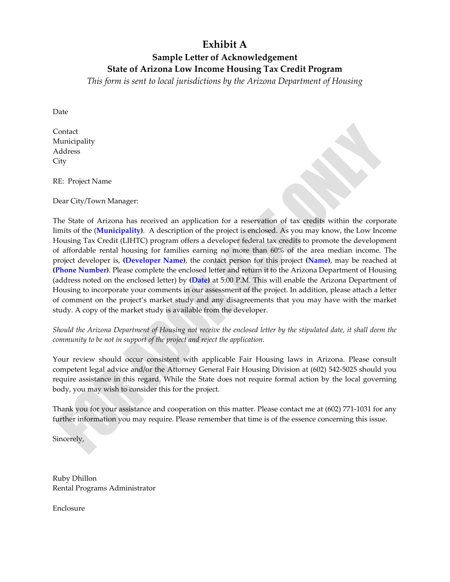## **Exhibit A**

## **Sample Letter of Acknowledgement**

**State of Arizona Low Income Housing Tax Credit Program**

*This form is sent to local jurisdictions by the Arizona Department of Housing*

Date

Contact Municipality Address **City** 

RE: Project Name

Dear City/Town Manager:

The State of Arizona has received an application for a reservation of tax credits within the corporate limits of the (**Municipality)**. A description of the project is enclosed. As you may know, the Low Income Housing Tax Credit (LIHTC) program offers a developer federal tax credits to promote the development of affordable rental housing for families earning no more than 60% of the area median income. The project developer is, **(Developer Name)**, the contact person for this project **(Name)**, may be reached at **(Phone Number)**. Please complete the enclosed letter and return it to the Arizona Department of Housing (address noted on the enclosed letter) by **(Date)** at 5:00 P.M. This will enable the Arizona Department of Housing to incorporate your comments in our assessment of the project. In addition, please attach a letter of comment on the project's market study and any disagreements that you may have with the market study. A copy of the market study is available from the developer.

Should the Arizona Department of Housing not receive the enclosed letter by the stipulated date, it shall deem the *community to be not in support of the project and reject the application.*

Your review should occur consistent with applicable Fair Housing laws in Arizona. Please consult competent legal advice and/or the Attorney General Fair Housing Division at (602) 542‐5025 should you require assistance in this regard. While the State does not require formal action by the local governing body, you may wish to consider this for the project.

Thank you for your assistance and cooperation on this matter. Please contact me at (602) 771‐1031 for any further information you may require. Please remember that time is of the essence concerning this issue.

Sincerely,

Ruby Dhillon Rental Programs Administrator

Enclosure